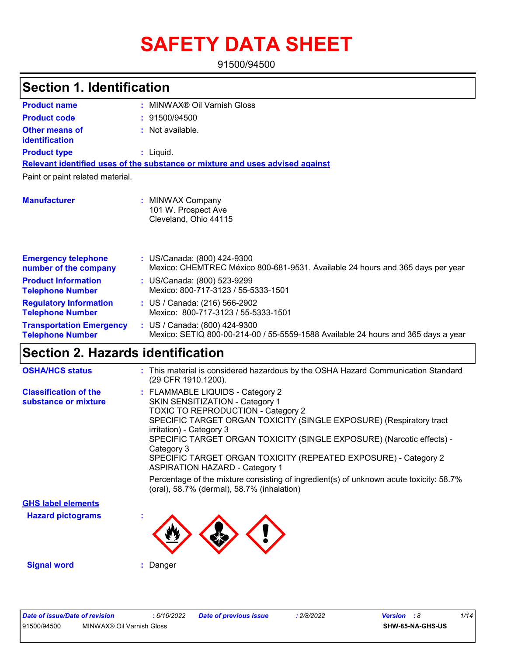# **SAFETY DATA SHEET**

91500/94500

| <b>Section 1. Identification</b>                           |                                                                                                                      |  |  |  |
|------------------------------------------------------------|----------------------------------------------------------------------------------------------------------------------|--|--|--|
| <b>Product name</b>                                        | MINWAX® Oil Varnish Gloss                                                                                            |  |  |  |
| <b>Product code</b>                                        | 91500/94500                                                                                                          |  |  |  |
| <b>Other means of</b><br><b>identification</b>             | : Not available.                                                                                                     |  |  |  |
| <b>Product type</b>                                        | : Liquid.                                                                                                            |  |  |  |
|                                                            | Relevant identified uses of the substance or mixture and uses advised against                                        |  |  |  |
| Paint or paint related material.                           |                                                                                                                      |  |  |  |
| <b>Manufacturer</b>                                        | : MINWAX Company<br>101 W. Prospect Ave<br>Cleveland, Ohio 44115                                                     |  |  |  |
| <b>Emergency telephone</b><br>number of the company        | : US/Canada: (800) 424-9300<br>Mexico: CHEMTREC México 800-681-9531. Available 24 hours and 365 days per year        |  |  |  |
| <b>Product Information</b><br><b>Telephone Number</b>      | : US/Canada: (800) 523-9299<br>Mexico: 800-717-3123 / 55-5333-1501                                                   |  |  |  |
| <b>Regulatory Information</b><br><b>Telephone Number</b>   | : US / Canada: (216) 566-2902<br>Mexico: 800-717-3123 / 55-5333-1501                                                 |  |  |  |
| <b>Transportation Emergency</b><br><b>Telephone Number</b> | : US / Canada: $(800)$ 424-9300<br>Mexico: SETIQ 800-00-214-00 / 55-5559-1588 Available 24 hours and 365 days a year |  |  |  |
| <b>Section 2. Hazards identification</b>                   |                                                                                                                      |  |  |  |
| <b>OSHA/HCS status</b>                                     | : This material is considered hazardous by the OSHA Hazard Communication Standard<br>(29 CFR 1910.1200).             |  |  |  |
| <b>Classification of the</b><br>substance or mixture       | : FLAMMABLE LIQUIDS - Category 2<br>SKIN SENSITIZATION - Category 1<br><b>TOXIC TO REPRODUCTION - Category 2</b>     |  |  |  |

SPECIFIC TARGET ORGAN TOXICITY (SINGLE EXPOSURE) (Respiratory tract irritation) - Category 3

SPECIFIC TARGET ORGAN TOXICITY (SINGLE EXPOSURE) (Narcotic effects) - Category 3 SPECIFIC TARGET ORGAN TOXICITY (REPEATED EXPOSURE) - Category 2

ASPIRATION HAZARD - Category 1 Percentage of the mixture consisting of ingredient(s) of unknown acute toxicity: 58.7%

**Hazard pictograms : GHS label elements**



(oral), 58.7% (dermal), 58.7% (inhalation)

**Signal word :** Danger

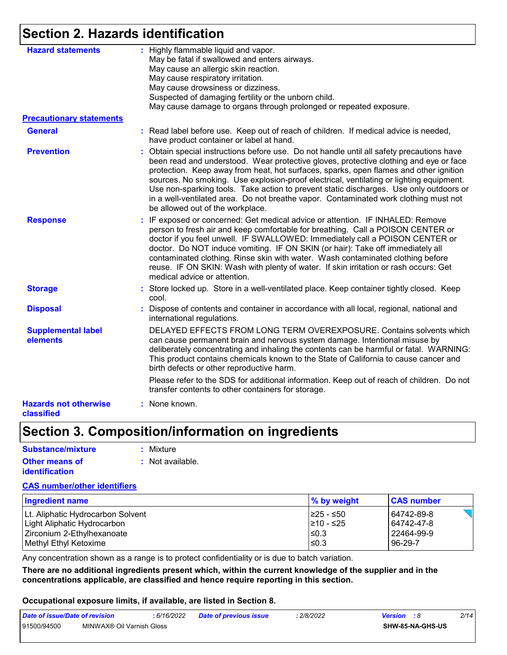## **Section 2. Hazards identification**

| <b>Hazard statements</b>                   | : Highly flammable liquid and vapor.<br>May be fatal if swallowed and enters airways.<br>May cause an allergic skin reaction.<br>May cause respiratory irritation.<br>May cause drowsiness or dizziness.<br>Suspected of damaging fertility or the unborn child.<br>May cause damage to organs through prolonged or repeated exposure.                                                                                                                                                                                                                                                       |
|--------------------------------------------|----------------------------------------------------------------------------------------------------------------------------------------------------------------------------------------------------------------------------------------------------------------------------------------------------------------------------------------------------------------------------------------------------------------------------------------------------------------------------------------------------------------------------------------------------------------------------------------------|
| <b>Precautionary statements</b>            |                                                                                                                                                                                                                                                                                                                                                                                                                                                                                                                                                                                              |
| <b>General</b>                             | : Read label before use. Keep out of reach of children. If medical advice is needed,<br>have product container or label at hand.                                                                                                                                                                                                                                                                                                                                                                                                                                                             |
| <b>Prevention</b>                          | : Obtain special instructions before use. Do not handle until all safety precautions have<br>been read and understood. Wear protective gloves, protective clothing and eye or face<br>protection. Keep away from heat, hot surfaces, sparks, open flames and other ignition<br>sources. No smoking. Use explosion-proof electrical, ventilating or lighting equipment.<br>Use non-sparking tools. Take action to prevent static discharges. Use only outdoors or<br>in a well-ventilated area. Do not breathe vapor. Contaminated work clothing must not<br>be allowed out of the workplace. |
| <b>Response</b>                            | : IF exposed or concerned: Get medical advice or attention. IF INHALED: Remove<br>person to fresh air and keep comfortable for breathing. Call a POISON CENTER or<br>doctor if you feel unwell. IF SWALLOWED: Immediately call a POISON CENTER or<br>doctor. Do NOT induce vomiting. IF ON SKIN (or hair): Take off immediately all<br>contaminated clothing. Rinse skin with water. Wash contaminated clothing before<br>reuse. IF ON SKIN: Wash with plenty of water. If skin irritation or rash occurs: Get<br>medical advice or attention.                                               |
| <b>Storage</b>                             | : Store locked up. Store in a well-ventilated place. Keep container tightly closed. Keep<br>cool.                                                                                                                                                                                                                                                                                                                                                                                                                                                                                            |
| <b>Disposal</b>                            | Dispose of contents and container in accordance with all local, regional, national and<br>international regulations.                                                                                                                                                                                                                                                                                                                                                                                                                                                                         |
| <b>Supplemental label</b><br>elements      | DELAYED EFFECTS FROM LONG TERM OVEREXPOSURE. Contains solvents which<br>can cause permanent brain and nervous system damage. Intentional misuse by<br>deliberately concentrating and inhaling the contents can be harmful or fatal. WARNING:<br>This product contains chemicals known to the State of California to cause cancer and<br>birth defects or other reproductive harm.                                                                                                                                                                                                            |
|                                            | Please refer to the SDS for additional information. Keep out of reach of children. Do not<br>transfer contents to other containers for storage.                                                                                                                                                                                                                                                                                                                                                                                                                                              |
| <b>Hazards not otherwise</b><br>classified | : None known.                                                                                                                                                                                                                                                                                                                                                                                                                                                                                                                                                                                |

## **Section 3. Composition/information on ingredients**

| Substance/mixture     | : Mixture        |
|-----------------------|------------------|
| <b>Other means of</b> | : Not available. |
| <b>identification</b> |                  |

#### **CAS number/other identifiers**

| <b>Ingredient name</b>            | % by weight | <b>CAS number</b> |
|-----------------------------------|-------------|-------------------|
| Lt. Aliphatic Hydrocarbon Solvent | I≥25 - ≤50  | 64742-89-8        |
| Light Aliphatic Hydrocarbon       | 210 - ≤25   | 64742-47-8        |
| Zirconium 2-Ethylhexanoate        | $\leq$ 0.3  | 22464-99-9        |
| Methyl Ethyl Ketoxime             | $\leq$ 0.3  | 96-29-7           |

Any concentration shown as a range is to protect confidentiality or is due to batch variation.

**There are no additional ingredients present which, within the current knowledge of the supplier and in the concentrations applicable, are classified and hence require reporting in this section.**

#### **Occupational exposure limits, if available, are listed in Section 8.**

| Date of issue/Date of revision |                           | 6/16/2022 | Date of previous issue | 2/8/2022 | <b>Version</b> : 8 |                  | 2/14 |
|--------------------------------|---------------------------|-----------|------------------------|----------|--------------------|------------------|------|
| 91500/94500                    | MINWAX® Oil Varnish Gloss |           |                        |          |                    | SHW-85-NA-GHS-US |      |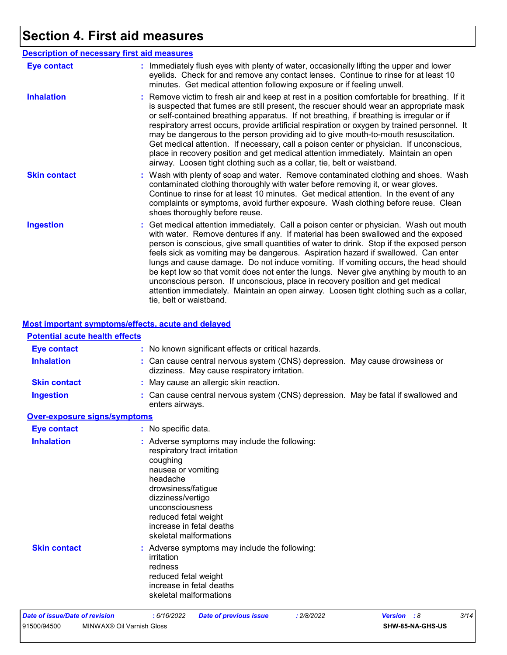## **Section 4. First aid measures**

| <b>Description of necessary first aid measures</b> |                                                                                                                                                                                                                                                                                                                                                                                                                                                                                                                                                                                                                                                                                                                                                         |  |  |  |  |
|----------------------------------------------------|---------------------------------------------------------------------------------------------------------------------------------------------------------------------------------------------------------------------------------------------------------------------------------------------------------------------------------------------------------------------------------------------------------------------------------------------------------------------------------------------------------------------------------------------------------------------------------------------------------------------------------------------------------------------------------------------------------------------------------------------------------|--|--|--|--|
| <b>Eye contact</b>                                 | : Immediately flush eyes with plenty of water, occasionally lifting the upper and lower<br>eyelids. Check for and remove any contact lenses. Continue to rinse for at least 10<br>minutes. Get medical attention following exposure or if feeling unwell.                                                                                                                                                                                                                                                                                                                                                                                                                                                                                               |  |  |  |  |
| <b>Inhalation</b>                                  | : Remove victim to fresh air and keep at rest in a position comfortable for breathing. If it<br>is suspected that fumes are still present, the rescuer should wear an appropriate mask<br>or self-contained breathing apparatus. If not breathing, if breathing is irregular or if<br>respiratory arrest occurs, provide artificial respiration or oxygen by trained personnel. It<br>may be dangerous to the person providing aid to give mouth-to-mouth resuscitation.<br>Get medical attention. If necessary, call a poison center or physician. If unconscious,<br>place in recovery position and get medical attention immediately. Maintain an open<br>airway. Loosen tight clothing such as a collar, tie, belt or waistband.                    |  |  |  |  |
| <b>Skin contact</b>                                | : Wash with plenty of soap and water. Remove contaminated clothing and shoes. Wash<br>contaminated clothing thoroughly with water before removing it, or wear gloves.<br>Continue to rinse for at least 10 minutes. Get medical attention. In the event of any<br>complaints or symptoms, avoid further exposure. Wash clothing before reuse. Clean<br>shoes thoroughly before reuse.                                                                                                                                                                                                                                                                                                                                                                   |  |  |  |  |
| <b>Ingestion</b>                                   | : Get medical attention immediately. Call a poison center or physician. Wash out mouth<br>with water. Remove dentures if any. If material has been swallowed and the exposed<br>person is conscious, give small quantities of water to drink. Stop if the exposed person<br>feels sick as vomiting may be dangerous. Aspiration hazard if swallowed. Can enter<br>lungs and cause damage. Do not induce vomiting. If vomiting occurs, the head should<br>be kept low so that vomit does not enter the lungs. Never give anything by mouth to an<br>unconscious person. If unconscious, place in recovery position and get medical<br>attention immediately. Maintain an open airway. Loosen tight clothing such as a collar,<br>tie, belt or waistband. |  |  |  |  |

#### **Most important symptoms/effects, acute and delayed**

#### **Potential acute health effects**

| <b>Eye contact</b>                  | : No known significant effects or critical hazards.                                                                                                                                                                                                                     |
|-------------------------------------|-------------------------------------------------------------------------------------------------------------------------------------------------------------------------------------------------------------------------------------------------------------------------|
| <b>Inhalation</b>                   | : Can cause central nervous system (CNS) depression. May cause drowsiness or<br>dizziness. May cause respiratory irritation.                                                                                                                                            |
| <b>Skin contact</b>                 | : May cause an allergic skin reaction.                                                                                                                                                                                                                                  |
| <b>Ingestion</b>                    | : Can cause central nervous system (CNS) depression. May be fatal if swallowed and<br>enters airways.                                                                                                                                                                   |
| <b>Over-exposure signs/symptoms</b> |                                                                                                                                                                                                                                                                         |
| <b>Eye contact</b>                  | : No specific data.                                                                                                                                                                                                                                                     |
| <b>Inhalation</b>                   | : Adverse symptoms may include the following:<br>respiratory tract irritation<br>coughing<br>nausea or vomiting<br>headache<br>drowsiness/fatigue<br>dizziness/vertigo<br>unconsciousness<br>reduced fetal weight<br>increase in fetal deaths<br>skeletal malformations |
| <b>Skin contact</b>                 | : Adverse symptoms may include the following:<br>irritation<br>redness<br>reduced fetal weight<br>increase in fetal deaths<br>skeletal malformations                                                                                                                    |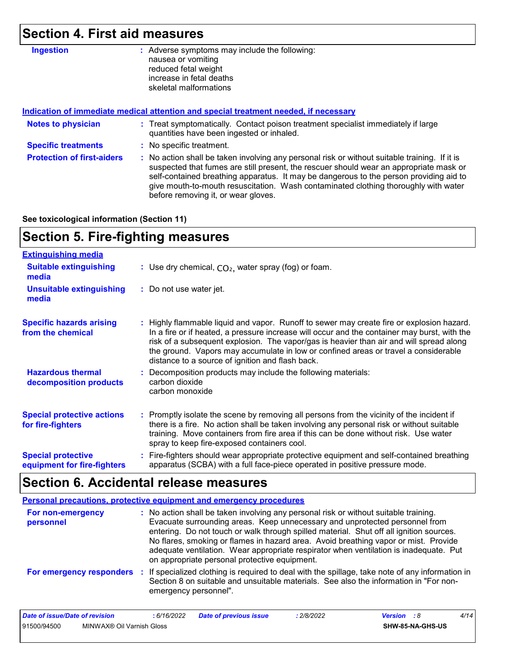### **Section 4. First aid measures**

| <b>Ingestion</b> | : Adverse symptoms may include the following: |
|------------------|-----------------------------------------------|
|                  | nausea or vomiting                            |
|                  | reduced fetal weight                          |
|                  | increase in fetal deaths                      |
|                  | skeletal malformations                        |
|                  |                                               |

**Protection of first-aiders :** No action shall be taken involving any personal risk or without suitable training. If it is suspected that fumes are still present, the rescuer should wear an appropriate mask or self-contained breathing apparatus. It may be dangerous to the person providing aid to give mouth-to-mouth resuscitation. Wash contaminated clothing thoroughly with water before removing it, or wear gloves. **Notes to physician <b>:** Treat symptomatically. Contact poison treatment specialist immediately if large quantities have been ingested or inhaled. **Specific treatments :** No specific treatment. **Indication of immediate medical attention and special treatment needed, if necessary**

**See toxicological information (Section 11)**

### **Section 5. Fire-fighting measures**

| <b>Extinguishing media</b>                               |                                                                                                                                                                                                                                                                                                                                                                                                                                 |
|----------------------------------------------------------|---------------------------------------------------------------------------------------------------------------------------------------------------------------------------------------------------------------------------------------------------------------------------------------------------------------------------------------------------------------------------------------------------------------------------------|
| <b>Suitable extinguishing</b><br>media                   | : Use dry chemical, $CO2$ , water spray (fog) or foam.                                                                                                                                                                                                                                                                                                                                                                          |
| <b>Unsuitable extinguishing</b><br>media                 | : Do not use water jet.                                                                                                                                                                                                                                                                                                                                                                                                         |
| <b>Specific hazards arising</b><br>from the chemical     | : Highly flammable liquid and vapor. Runoff to sewer may create fire or explosion hazard.<br>In a fire or if heated, a pressure increase will occur and the container may burst, with the<br>risk of a subsequent explosion. The vapor/gas is heavier than air and will spread along<br>the ground. Vapors may accumulate in low or confined areas or travel a considerable<br>distance to a source of ignition and flash back. |
| <b>Hazardous thermal</b><br>decomposition products       | Decomposition products may include the following materials:<br>carbon dioxide<br>carbon monoxide                                                                                                                                                                                                                                                                                                                                |
| <b>Special protective actions</b><br>for fire-fighters   | : Promptly isolate the scene by removing all persons from the vicinity of the incident if<br>there is a fire. No action shall be taken involving any personal risk or without suitable<br>training. Move containers from fire area if this can be done without risk. Use water<br>spray to keep fire-exposed containers cool.                                                                                                   |
| <b>Special protective</b><br>equipment for fire-fighters | : Fire-fighters should wear appropriate protective equipment and self-contained breathing<br>apparatus (SCBA) with a full face-piece operated in positive pressure mode.                                                                                                                                                                                                                                                        |

### **Section 6. Accidental release measures**

| <b>Personal precautions, protective equipment and emergency procedures</b> |                                                                                                                                                                                                                                                                                                                                                                                                                                                                                                 |  |  |  |  |
|----------------------------------------------------------------------------|-------------------------------------------------------------------------------------------------------------------------------------------------------------------------------------------------------------------------------------------------------------------------------------------------------------------------------------------------------------------------------------------------------------------------------------------------------------------------------------------------|--|--|--|--|
| For non-emergency<br>personnel                                             | : No action shall be taken involving any personal risk or without suitable training.<br>Evacuate surrounding areas. Keep unnecessary and unprotected personnel from<br>entering. Do not touch or walk through spilled material. Shut off all ignition sources.<br>No flares, smoking or flames in hazard area. Avoid breathing vapor or mist. Provide<br>adequate ventilation. Wear appropriate respirator when ventilation is inadequate. Put<br>on appropriate personal protective equipment. |  |  |  |  |
| For emergency responders                                                   | : If specialized clothing is required to deal with the spillage, take note of any information in<br>Section 8 on suitable and unsuitable materials. See also the information in "For non-<br>emergency personnel".                                                                                                                                                                                                                                                                              |  |  |  |  |

| Date of issue/Date of revision |                           | : 6/16/2022 | <b>Date of previous issue</b> | 2/8/2022 | <b>Version</b> : 8 |                         | 4/14 |
|--------------------------------|---------------------------|-------------|-------------------------------|----------|--------------------|-------------------------|------|
| 91500/94500                    | MINWAX® Oil Varnish Gloss |             |                               |          |                    | <b>SHW-85-NA-GHS-US</b> |      |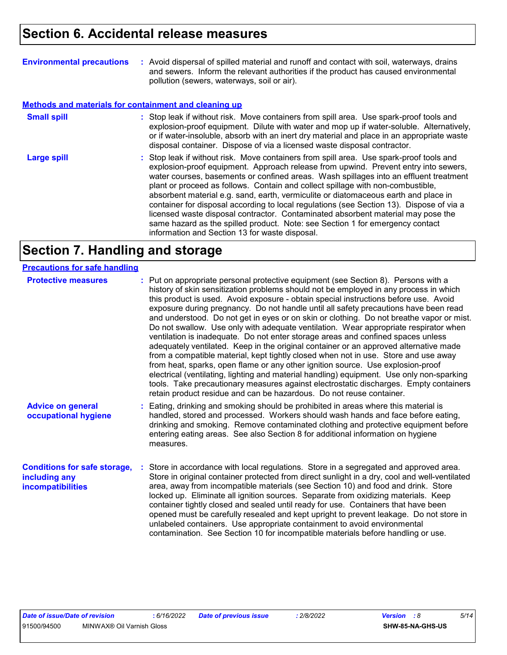| <b>Environmental precautions</b>                             | : Avoid dispersal of spilled material and runoff and contact with soil, waterways, drains<br>and sewers. Inform the relevant authorities if the product has caused environmental<br>pollution (sewers, waterways, soil or air).                                                                                                                                                                                                                                                                                                                                                                                                                                                                                                                                      |
|--------------------------------------------------------------|----------------------------------------------------------------------------------------------------------------------------------------------------------------------------------------------------------------------------------------------------------------------------------------------------------------------------------------------------------------------------------------------------------------------------------------------------------------------------------------------------------------------------------------------------------------------------------------------------------------------------------------------------------------------------------------------------------------------------------------------------------------------|
| <b>Methods and materials for containment and cleaning up</b> |                                                                                                                                                                                                                                                                                                                                                                                                                                                                                                                                                                                                                                                                                                                                                                      |
| <b>Small spill</b>                                           | : Stop leak if without risk. Move containers from spill area. Use spark-proof tools and<br>explosion-proof equipment. Dilute with water and mop up if water-soluble. Alternatively,<br>or if water-insoluble, absorb with an inert dry material and place in an appropriate waste<br>disposal container. Dispose of via a licensed waste disposal contractor.                                                                                                                                                                                                                                                                                                                                                                                                        |
| <b>Large spill</b>                                           | : Stop leak if without risk. Move containers from spill area. Use spark-proof tools and<br>explosion-proof equipment. Approach release from upwind. Prevent entry into sewers,<br>water courses, basements or confined areas. Wash spillages into an effluent treatment<br>plant or proceed as follows. Contain and collect spillage with non-combustible,<br>absorbent material e.g. sand, earth, vermiculite or diatomaceous earth and place in<br>container for disposal according to local regulations (see Section 13). Dispose of via a<br>licensed waste disposal contractor. Contaminated absorbent material may pose the<br>same hazard as the spilled product. Note: see Section 1 for emergency contact<br>information and Section 13 for waste disposal. |

## **Section 7. Handling and storage**

| <b>Precautions for safe handling</b>                                             |                                                                                                                                                                                                                                                                                                                                                                                                                                                                                                                                                                                                                                                                                                                                                                                                                                                                                                                                                                                                                                                                                                                                                                      |
|----------------------------------------------------------------------------------|----------------------------------------------------------------------------------------------------------------------------------------------------------------------------------------------------------------------------------------------------------------------------------------------------------------------------------------------------------------------------------------------------------------------------------------------------------------------------------------------------------------------------------------------------------------------------------------------------------------------------------------------------------------------------------------------------------------------------------------------------------------------------------------------------------------------------------------------------------------------------------------------------------------------------------------------------------------------------------------------------------------------------------------------------------------------------------------------------------------------------------------------------------------------|
| <b>Protective measures</b>                                                       | : Put on appropriate personal protective equipment (see Section 8). Persons with a<br>history of skin sensitization problems should not be employed in any process in which<br>this product is used. Avoid exposure - obtain special instructions before use. Avoid<br>exposure during pregnancy. Do not handle until all safety precautions have been read<br>and understood. Do not get in eyes or on skin or clothing. Do not breathe vapor or mist.<br>Do not swallow. Use only with adequate ventilation. Wear appropriate respirator when<br>ventilation is inadequate. Do not enter storage areas and confined spaces unless<br>adequately ventilated. Keep in the original container or an approved alternative made<br>from a compatible material, kept tightly closed when not in use. Store and use away<br>from heat, sparks, open flame or any other ignition source. Use explosion-proof<br>electrical (ventilating, lighting and material handling) equipment. Use only non-sparking<br>tools. Take precautionary measures against electrostatic discharges. Empty containers<br>retain product residue and can be hazardous. Do not reuse container. |
| <b>Advice on general</b><br>occupational hygiene                                 | : Eating, drinking and smoking should be prohibited in areas where this material is<br>handled, stored and processed. Workers should wash hands and face before eating,<br>drinking and smoking. Remove contaminated clothing and protective equipment before<br>entering eating areas. See also Section 8 for additional information on hygiene<br>measures.                                                                                                                                                                                                                                                                                                                                                                                                                                                                                                                                                                                                                                                                                                                                                                                                        |
| <b>Conditions for safe storage,</b><br>including any<br><b>incompatibilities</b> | Store in accordance with local regulations. Store in a segregated and approved area.<br>Store in original container protected from direct sunlight in a dry, cool and well-ventilated<br>area, away from incompatible materials (see Section 10) and food and drink. Store<br>locked up. Eliminate all ignition sources. Separate from oxidizing materials. Keep<br>container tightly closed and sealed until ready for use. Containers that have been<br>opened must be carefully resealed and kept upright to prevent leakage. Do not store in<br>unlabeled containers. Use appropriate containment to avoid environmental<br>contamination. See Section 10 for incompatible materials before handling or use.                                                                                                                                                                                                                                                                                                                                                                                                                                                     |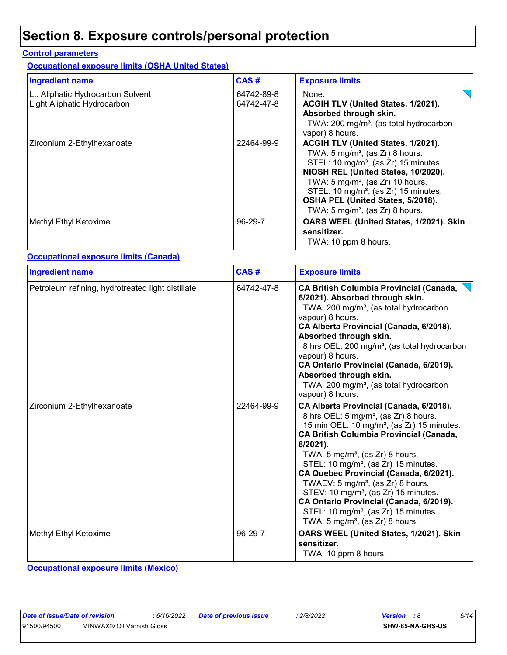## **Section 8. Exposure controls/personal protection**

#### **Control parameters**

**Occupational exposure limits (OSHA United States)**

| <b>Ingredient name</b>                                           | CAS#                     | <b>Exposure limits</b>                                                                                                                                                                                                                                                                                                                                              |
|------------------------------------------------------------------|--------------------------|---------------------------------------------------------------------------------------------------------------------------------------------------------------------------------------------------------------------------------------------------------------------------------------------------------------------------------------------------------------------|
| Lt. Aliphatic Hydrocarbon Solvent<br>Light Aliphatic Hydrocarbon | 64742-89-8<br>64742-47-8 | None.<br>ACGIH TLV (United States, 1/2021).<br>Absorbed through skin.<br>TWA: 200 mg/m <sup>3</sup> , (as total hydrocarbon<br>vapor) 8 hours.                                                                                                                                                                                                                      |
| Zirconium 2-Ethylhexanoate                                       | 22464-99-9               | ACGIH TLV (United States, 1/2021).<br>TWA: 5 mg/m <sup>3</sup> , (as Zr) 8 hours.<br>STEL: 10 mg/m <sup>3</sup> , (as Zr) 15 minutes.<br>NIOSH REL (United States, 10/2020).<br>TWA: $5 \text{ mg/m}^3$ , (as Zr) 10 hours.<br>STEL: 10 mg/m <sup>3</sup> , (as Zr) 15 minutes.<br>OSHA PEL (United States, 5/2018).<br>TWA: 5 mg/m <sup>3</sup> , (as Zr) 8 hours. |
| Methyl Ethyl Ketoxime                                            | 96-29-7                  | OARS WEEL (United States, 1/2021). Skin<br>sensitizer.<br>TWA: 10 ppm 8 hours.                                                                                                                                                                                                                                                                                      |

#### **Occupational exposure limits (Canada)**

| <b>Ingredient name</b>                            | CAS#       | <b>Exposure limits</b>                                                                                                                                                                                                                                                                                                                                                                                                                                                                                                                                                                                            |
|---------------------------------------------------|------------|-------------------------------------------------------------------------------------------------------------------------------------------------------------------------------------------------------------------------------------------------------------------------------------------------------------------------------------------------------------------------------------------------------------------------------------------------------------------------------------------------------------------------------------------------------------------------------------------------------------------|
| Petroleum refining, hydrotreated light distillate | 64742-47-8 | <b>CA British Columbia Provincial (Canada,</b><br>6/2021). Absorbed through skin.<br>TWA: 200 mg/m <sup>3</sup> , (as total hydrocarbon<br>vapour) 8 hours.<br>CA Alberta Provincial (Canada, 6/2018).<br>Absorbed through skin.<br>8 hrs OEL: 200 mg/m <sup>3</sup> , (as total hydrocarbon<br>vapour) 8 hours.<br>CA Ontario Provincial (Canada, 6/2019).<br>Absorbed through skin.<br>TWA: 200 mg/m <sup>3</sup> , (as total hydrocarbon<br>vapour) 8 hours.                                                                                                                                                   |
| Zirconium 2-Ethylhexanoate                        | 22464-99-9 | CA Alberta Provincial (Canada, 6/2018).<br>8 hrs OEL: 5 mg/m <sup>3</sup> , (as Zr) 8 hours.<br>15 min OEL: 10 mg/m <sup>3</sup> , (as Zr) 15 minutes.<br><b>CA British Columbia Provincial (Canada,</b><br>6/2021).<br>TWA: $5 \text{ mg/m}^3$ , (as Zr) 8 hours.<br>STEL: 10 mg/m <sup>3</sup> , (as Zr) 15 minutes.<br>CA Quebec Provincial (Canada, 6/2021).<br>TWAEV: $5 \text{ mg/m}^3$ , (as Zr) 8 hours.<br>STEV: 10 mg/m <sup>3</sup> , (as Zr) 15 minutes.<br>CA Ontario Provincial (Canada, 6/2019).<br>STEL: 10 mg/m <sup>3</sup> , (as Zr) 15 minutes.<br>TWA: $5 \text{ mg/m}^3$ , (as Zr) 8 hours. |
| Methyl Ethyl Ketoxime                             | 96-29-7    | OARS WEEL (United States, 1/2021). Skin<br>sensitizer.<br>TWA: 10 ppm 8 hours.                                                                                                                                                                                                                                                                                                                                                                                                                                                                                                                                    |

**Occupational exposure limits (Mexico)**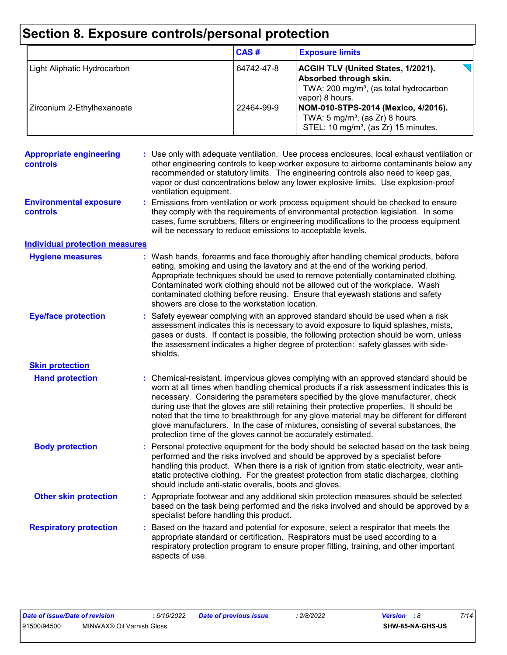# **Section 8. Exposure controls/personal protection**

|                             | CAS#       | <b>Exposure limits</b>                                                                                                                       |
|-----------------------------|------------|----------------------------------------------------------------------------------------------------------------------------------------------|
| Light Aliphatic Hydrocarbon | 64742-47-8 | <b>ACGIH TLV (United States, 1/2021).</b><br>Absorbed through skin.<br>TWA: 200 mg/m <sup>3</sup> , (as total hydrocarbon<br>vapor) 8 hours. |
| Zirconium 2-Ethylhexanoate  | 22464-99-9 | NOM-010-STPS-2014 (Mexico, 4/2016).<br>TWA: $5 \text{ mg/m}^3$ , (as Zr) 8 hours.<br>STEL: 10 mg/m <sup>3</sup> , (as Zr) 15 minutes.        |

| <b>Appropriate engineering</b><br>controls       | : Use only with adequate ventilation. Use process enclosures, local exhaust ventilation or<br>other engineering controls to keep worker exposure to airborne contaminants below any<br>recommended or statutory limits. The engineering controls also need to keep gas,<br>vapor or dust concentrations below any lower explosive limits. Use explosion-proof<br>ventilation equipment.                                                                                                                                                                                                                              |
|--------------------------------------------------|----------------------------------------------------------------------------------------------------------------------------------------------------------------------------------------------------------------------------------------------------------------------------------------------------------------------------------------------------------------------------------------------------------------------------------------------------------------------------------------------------------------------------------------------------------------------------------------------------------------------|
| <b>Environmental exposure</b><br><b>controls</b> | Emissions from ventilation or work process equipment should be checked to ensure<br>they comply with the requirements of environmental protection legislation. In some<br>cases, fume scrubbers, filters or engineering modifications to the process equipment<br>will be necessary to reduce emissions to acceptable levels.                                                                                                                                                                                                                                                                                        |
| <b>Individual protection measures</b>            |                                                                                                                                                                                                                                                                                                                                                                                                                                                                                                                                                                                                                      |
| <b>Hygiene measures</b>                          | Wash hands, forearms and face thoroughly after handling chemical products, before<br>eating, smoking and using the lavatory and at the end of the working period.<br>Appropriate techniques should be used to remove potentially contaminated clothing.<br>Contaminated work clothing should not be allowed out of the workplace. Wash<br>contaminated clothing before reusing. Ensure that eyewash stations and safety<br>showers are close to the workstation location.                                                                                                                                            |
| <b>Eye/face protection</b>                       | Safety eyewear complying with an approved standard should be used when a risk<br>assessment indicates this is necessary to avoid exposure to liquid splashes, mists,<br>gases or dusts. If contact is possible, the following protection should be worn, unless<br>the assessment indicates a higher degree of protection: safety glasses with side-<br>shields.                                                                                                                                                                                                                                                     |
| <b>Skin protection</b>                           |                                                                                                                                                                                                                                                                                                                                                                                                                                                                                                                                                                                                                      |
| <b>Hand protection</b>                           | Chemical-resistant, impervious gloves complying with an approved standard should be<br>worn at all times when handling chemical products if a risk assessment indicates this is<br>necessary. Considering the parameters specified by the glove manufacturer, check<br>during use that the gloves are still retaining their protective properties. It should be<br>noted that the time to breakthrough for any glove material may be different for different<br>glove manufacturers. In the case of mixtures, consisting of several substances, the<br>protection time of the gloves cannot be accurately estimated. |
| <b>Body protection</b>                           | Personal protective equipment for the body should be selected based on the task being<br>÷.<br>performed and the risks involved and should be approved by a specialist before<br>handling this product. When there is a risk of ignition from static electricity, wear anti-<br>static protective clothing. For the greatest protection from static discharges, clothing<br>should include anti-static overalls, boots and gloves.                                                                                                                                                                                   |
| <b>Other skin protection</b>                     | Appropriate footwear and any additional skin protection measures should be selected<br>based on the task being performed and the risks involved and should be approved by a<br>specialist before handling this product.                                                                                                                                                                                                                                                                                                                                                                                              |
| <b>Respiratory protection</b>                    | Based on the hazard and potential for exposure, select a respirator that meets the<br>appropriate standard or certification. Respirators must be used according to a<br>respiratory protection program to ensure proper fitting, training, and other important<br>aspects of use.                                                                                                                                                                                                                                                                                                                                    |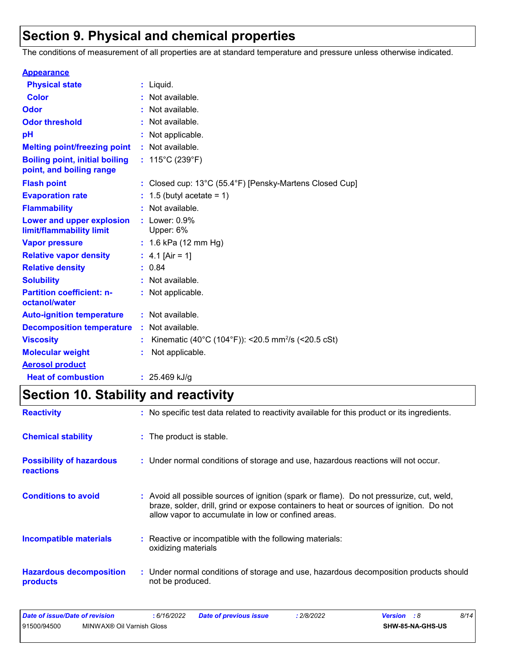## **Section 9. Physical and chemical properties**

The conditions of measurement of all properties are at standard temperature and pressure unless otherwise indicated.

| <b>Appearance</b>                                                 |                                                                |
|-------------------------------------------------------------------|----------------------------------------------------------------|
| <b>Physical state</b>                                             | $:$ Liquid.                                                    |
| <b>Color</b>                                                      | Not available.                                                 |
| <b>Odor</b>                                                       | Not available.                                                 |
| <b>Odor threshold</b>                                             | Not available.                                                 |
| рH                                                                | Not applicable.                                                |
| <b>Melting point/freezing point</b>                               | : Not available.                                               |
| <b>Boiling point, initial boiling</b><br>point, and boiling range | : $115^{\circ}$ C (239 $^{\circ}$ F)                           |
| <b>Flash point</b>                                                | : Closed cup: 13°C (55.4°F) [Pensky-Martens Closed Cup]        |
| <b>Evaporation rate</b>                                           | 1.5 (butyl acetate = 1)                                        |
| <b>Flammability</b>                                               | Not available.                                                 |
| Lower and upper explosion<br>limit/flammability limit             | $:$ Lower: $0.9\%$<br>Upper: 6%                                |
| <b>Vapor pressure</b>                                             | : $1.6$ kPa (12 mm Hg)                                         |
| <b>Relative vapor density</b>                                     | : $4.1$ [Air = 1]                                              |
| <b>Relative density</b>                                           | : 0.84                                                         |
| <b>Solubility</b>                                                 | Not available.                                                 |
| <b>Partition coefficient: n-</b><br>octanol/water                 | : Not applicable.                                              |
| <b>Auto-ignition temperature</b>                                  | : Not available.                                               |
| <b>Decomposition temperature</b>                                  | : Not available.                                               |
| <b>Viscosity</b>                                                  | Kinematic (40°C (104°F)): <20.5 mm <sup>2</sup> /s (<20.5 cSt) |
| <b>Molecular weight</b>                                           | Not applicable.                                                |
| <b>Aerosol product</b>                                            |                                                                |
| <b>Heat of combustion</b>                                         | : $25.469$ kJ/g                                                |

## **Section 10. Stability and reactivity**

| <b>Reactivity</b>                                   | : No specific test data related to reactivity available for this product or its ingredients.                                                                                                                                               |
|-----------------------------------------------------|--------------------------------------------------------------------------------------------------------------------------------------------------------------------------------------------------------------------------------------------|
| <b>Chemical stability</b>                           | : The product is stable.                                                                                                                                                                                                                   |
| <b>Possibility of hazardous</b><br><b>reactions</b> | : Under normal conditions of storage and use, hazardous reactions will not occur.                                                                                                                                                          |
| <b>Conditions to avoid</b>                          | : Avoid all possible sources of ignition (spark or flame). Do not pressurize, cut, weld,<br>braze, solder, drill, grind or expose containers to heat or sources of ignition. Do not<br>allow vapor to accumulate in low or confined areas. |
| <b>Incompatible materials</b>                       | : Reactive or incompatible with the following materials:<br>oxidizing materials                                                                                                                                                            |
| <b>Hazardous decomposition</b><br><b>products</b>   | : Under normal conditions of storage and use, hazardous decomposition products should<br>not be produced.                                                                                                                                  |

| Date of issue/Date of revision |                           | 6/16/2022 | <b>Date of previous issue</b> | 2/8/2022 | <b>Version</b> : 8 |                  | 8/14 |  |
|--------------------------------|---------------------------|-----------|-------------------------------|----------|--------------------|------------------|------|--|
| 91500/94500                    | MINWAX® Oil Varnish Gloss |           |                               |          |                    | SHW-85-NA-GHS-US |      |  |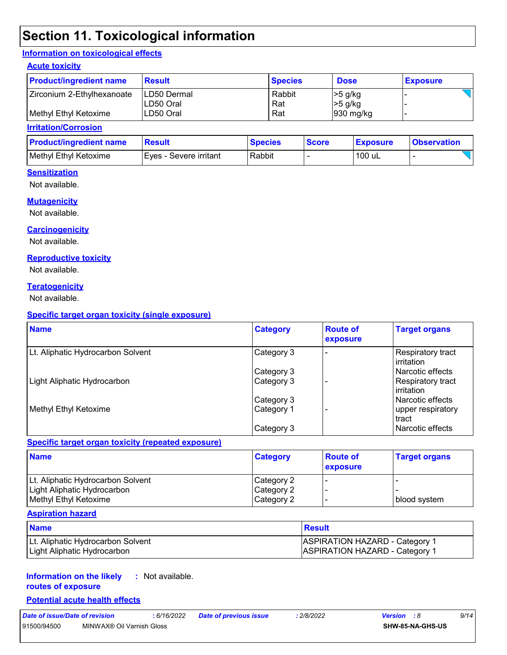## **Section 11. Toxicological information**

#### **Information on toxicological effects**

#### **Acute toxicity**

| <b>Product/ingredient name</b> | <b>Result</b> | <b>Species</b> | <b>Dose</b>           | <b>Exposure</b> |
|--------------------------------|---------------|----------------|-----------------------|-----------------|
| Zirconium 2-Ethylhexanoate     | LD50 Dermal   | Rabbit         | $>5$ g/kg             |                 |
|                                | ILD50 Oral    | Rat            | $>5$ g/kg             |                 |
| Methyl Ethyl Ketoxime          | ILD50 Oral    | Rat            | $ 930 \text{ mg/kg} $ |                 |

#### **Irritation/Corrosion**

| <b>Product/ingredient name</b> | <b>Result</b>           | <b>Species</b> | <b>Score</b> | <b>Exposure</b> | <b>Observation</b> |
|--------------------------------|-------------------------|----------------|--------------|-----------------|--------------------|
| Methyl Ethyl Ketoxime          | IEves - Severe irritant | Rabbit         |              | 100 uL          |                    |

#### **Sensitization**

Not available.

#### **Mutagenicity**

Not available.

#### **Carcinogenicity**

Not available.

#### **Reproductive toxicity**

Not available.

#### **Teratogenicity**

Not available.

#### **Specific target organ toxicity (single exposure)**

| <b>Name</b>                       | <b>Category</b> | <b>Route of</b><br>exposure | <b>Target organs</b>              |
|-----------------------------------|-----------------|-----------------------------|-----------------------------------|
| Lt. Aliphatic Hydrocarbon Solvent | Category 3      |                             | Respiratory tract<br>l irritation |
|                                   | Category 3      |                             | l Narcotic effects                |
| Light Aliphatic Hydrocarbon       | Category 3      |                             | Respiratory tract<br>l irritation |
|                                   | Category 3      |                             | l Narcotic effects                |
| Methyl Ethyl Ketoxime             | Category 1      |                             | upper respiratory<br>tract        |
|                                   | Category 3      |                             | Narcotic effects                  |

#### **Specific target organ toxicity (repeated exposure)**

| <b>Name</b>                       | <b>Category</b> | <b>Route of</b><br><b>exposure</b> | <b>Target organs</b> |
|-----------------------------------|-----------------|------------------------------------|----------------------|
| Lt. Aliphatic Hydrocarbon Solvent | Category 2      |                                    |                      |
| Light Aliphatic Hydrocarbon       | Category 2      |                                    |                      |
| Methyl Ethyl Ketoxime             | Category 2      |                                    | blood system         |

#### **Aspiration hazard**

| <b>Name</b>                       | <b>Result</b>                         |
|-----------------------------------|---------------------------------------|
| Lt. Aliphatic Hydrocarbon Solvent | <b>ASPIRATION HAZARD - Category 1</b> |
| Light Aliphatic Hydrocarbon       | <b>ASPIRATION HAZARD - Category 1</b> |

#### **Information on the likely routes of exposure :** Not available.

#### **Potential acute health effects**

*Date of issue/Date of revision* **:** *6/16/2022 Date of previous issue : 2/8/2022 Version : 8 9/14* 91500/94500 MINWAX® Oil Varnish Gloss **SHW-85-NA-GHS-US**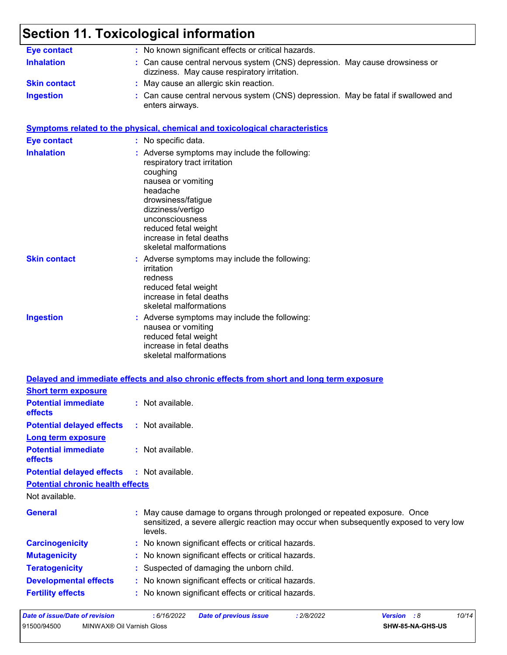# **Section 11. Toxicological information**

| <b>Eye contact</b>                                            | : No known significant effects or critical hazards.                                                                                                                                                                                                                     |
|---------------------------------------------------------------|-------------------------------------------------------------------------------------------------------------------------------------------------------------------------------------------------------------------------------------------------------------------------|
| <b>Inhalation</b>                                             | : Can cause central nervous system (CNS) depression. May cause drowsiness or<br>dizziness. May cause respiratory irritation.                                                                                                                                            |
| <b>Skin contact</b>                                           | : May cause an allergic skin reaction.                                                                                                                                                                                                                                  |
| <b>Ingestion</b>                                              | : Can cause central nervous system (CNS) depression. May be fatal if swallowed and<br>enters airways.                                                                                                                                                                   |
|                                                               | <b>Symptoms related to the physical, chemical and toxicological characteristics</b>                                                                                                                                                                                     |
| <b>Eye contact</b>                                            | : No specific data.                                                                                                                                                                                                                                                     |
| <b>Inhalation</b>                                             | : Adverse symptoms may include the following:<br>respiratory tract irritation<br>coughing<br>nausea or vomiting<br>headache<br>drowsiness/fatigue<br>dizziness/vertigo<br>unconsciousness<br>reduced fetal weight<br>increase in fetal deaths<br>skeletal malformations |
| <b>Skin contact</b>                                           | : Adverse symptoms may include the following:<br>irritation<br>redness<br>reduced fetal weight<br>increase in fetal deaths<br>skeletal malformations                                                                                                                    |
| <b>Ingestion</b>                                              | : Adverse symptoms may include the following:<br>nausea or vomiting<br>reduced fetal weight<br>increase in fetal deaths<br>skeletal malformations                                                                                                                       |
|                                                               | Delayed and immediate effects and also chronic effects from short and long term exposure                                                                                                                                                                                |
| <b>Short term exposure</b>                                    |                                                                                                                                                                                                                                                                         |
| <b>Potential immediate</b><br>effects                         | : Not available.                                                                                                                                                                                                                                                        |
| <b>Potential delayed effects</b><br><b>Long term exposure</b> | : Not available.                                                                                                                                                                                                                                                        |
| <b>Potential immediate</b><br>effects                         | : Not available.                                                                                                                                                                                                                                                        |
| <b>Potential delayed effects</b>                              | : Not available.                                                                                                                                                                                                                                                        |
| <b>Potential chronic health effects</b><br>Not available.     |                                                                                                                                                                                                                                                                         |
| <b>General</b>                                                | May cause damage to organs through prolonged or repeated exposure. Once<br>sensitized, a severe allergic reaction may occur when subsequently exposed to very low<br>levels.                                                                                            |
| <b>Carcinogenicity</b>                                        | : No known significant effects or critical hazards.                                                                                                                                                                                                                     |
| <b>Mutagenicity</b>                                           | No known significant effects or critical hazards.                                                                                                                                                                                                                       |
| <b>Teratogenicity</b>                                         | Suspected of damaging the unborn child.                                                                                                                                                                                                                                 |
| <b>Developmental effects</b>                                  | No known significant effects or critical hazards.                                                                                                                                                                                                                       |
| <b>Fertility effects</b>                                      | No known significant effects or critical hazards.                                                                                                                                                                                                                       |
|                                                               | 0.00000                                                                                                                                                                                                                                                                 |

| Date of issue/Date of revision |                           | : 6/16/2022 | Date of previous issue | 2/8/2022 | <b>Version</b> : 8 |                         | 10/14 |  |
|--------------------------------|---------------------------|-------------|------------------------|----------|--------------------|-------------------------|-------|--|
| 91500/94500                    | MINWAX® Oil Varnish Gloss |             |                        |          |                    | <b>SHW-85-NA-GHS-US</b> |       |  |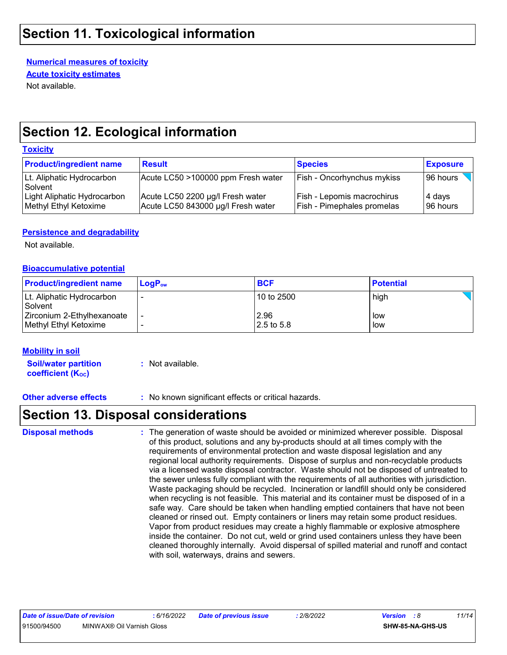### **Section 11. Toxicological information**

**Numerical measures of toxicity**

**Acute toxicity estimates**

Not available.

## **Section 12. Ecological information**

#### **Toxicity**

| <b>Product/ingredient name</b>                       | <b>Result</b>                                                          | <b>Species</b>                                                         | <b>Exposure</b>       |
|------------------------------------------------------|------------------------------------------------------------------------|------------------------------------------------------------------------|-----------------------|
| Lt. Aliphatic Hydrocarbon<br>Solvent                 | Acute LC50 >100000 ppm Fresh water                                     | <b>Fish - Oncorhynchus mykiss</b>                                      | 96 hours              |
| Light Aliphatic Hydrocarbon<br>Methyl Ethyl Ketoxime | Acute LC50 2200 µg/l Fresh water<br>Acute LC50 843000 µg/l Fresh water | <b>Fish - Lepomis macrochirus</b><br><b>Fish - Pimephales promelas</b> | ∣4 days<br>l 96 hours |

#### **Persistence and degradability**

Not available.

#### **Bioaccumulative potential**

| <b>Product/ingredient name</b>                      | $LoaPow$ | <b>BCF</b>            | <b>Potential</b> |
|-----------------------------------------------------|----------|-----------------------|------------------|
| Lt. Aliphatic Hydrocarbon<br>Solvent                |          | 10 to 2500            | high             |
| Zirconium 2-Ethylhexanoate<br>Methyl Ethyl Ketoxime |          | 2.96<br>$12.5$ to 5.8 | low<br>low       |

#### **Mobility in soil**

**Soil/water partition coefficient (K**<sub>oc</sub>) **:** Not available.

**Other adverse effects :** No known significant effects or critical hazards.

## **Section 13. Disposal considerations**

The generation of waste should be avoided or minimized wherever possible. Disposal of this product, solutions and any by-products should at all times comply with the requirements of environmental protection and waste disposal legislation and any regional local authority requirements. Dispose of surplus and non-recyclable products via a licensed waste disposal contractor. Waste should not be disposed of untreated to the sewer unless fully compliant with the requirements of all authorities with jurisdiction. Waste packaging should be recycled. Incineration or landfill should only be considered when recycling is not feasible. This material and its container must be disposed of in a safe way. Care should be taken when handling emptied containers that have not been cleaned or rinsed out. Empty containers or liners may retain some product residues. Vapor from product residues may create a highly flammable or explosive atmosphere inside the container. Do not cut, weld or grind used containers unless they have been cleaned thoroughly internally. Avoid dispersal of spilled material and runoff and contact with soil, waterways, drains and sewers. **Disposal methods :**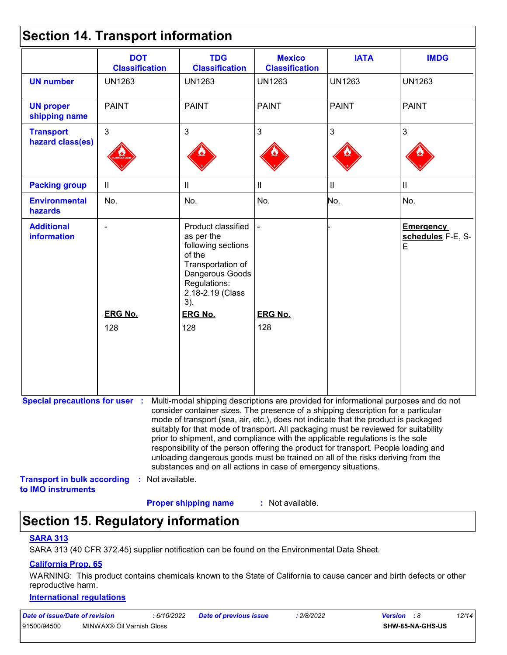|  |  | <b>Section 14. Transport information</b> |  |
|--|--|------------------------------------------|--|
|--|--|------------------------------------------|--|

|                                         | <b>DOT</b><br><b>Classification</b>                                                                                                     | <b>TDG</b><br><b>Classification</b>                                                                                                                                                                                                                                                                                                                                                                                                                                                                                                                                                         | <b>Mexico</b><br><b>Classification</b> | <b>IATA</b>                | <b>IMDG</b>                                |
|-----------------------------------------|-----------------------------------------------------------------------------------------------------------------------------------------|---------------------------------------------------------------------------------------------------------------------------------------------------------------------------------------------------------------------------------------------------------------------------------------------------------------------------------------------------------------------------------------------------------------------------------------------------------------------------------------------------------------------------------------------------------------------------------------------|----------------------------------------|----------------------------|--------------------------------------------|
| <b>UN number</b>                        | <b>UN1263</b>                                                                                                                           | <b>UN1263</b>                                                                                                                                                                                                                                                                                                                                                                                                                                                                                                                                                                               | <b>UN1263</b>                          | <b>UN1263</b>              | <b>UN1263</b>                              |
| <b>UN proper</b><br>shipping name       | <b>PAINT</b>                                                                                                                            | <b>PAINT</b>                                                                                                                                                                                                                                                                                                                                                                                                                                                                                                                                                                                | <b>PAINT</b>                           | <b>PAINT</b>               | <b>PAINT</b>                               |
| <b>Transport</b><br>hazard class(es)    | $\mathbf{3}$                                                                                                                            | 3                                                                                                                                                                                                                                                                                                                                                                                                                                                                                                                                                                                           | 3                                      | 3                          | $\mathbf{3}$                               |
| <b>Packing group</b>                    | $\mathbf{II}$                                                                                                                           | Ш                                                                                                                                                                                                                                                                                                                                                                                                                                                                                                                                                                                           | $\mathbf{II}$                          | $\ensuremath{\mathsf{II}}$ | $\ensuremath{\mathsf{II}}$                 |
| <b>Environmental</b><br>hazards         | No.                                                                                                                                     | No.                                                                                                                                                                                                                                                                                                                                                                                                                                                                                                                                                                                         | No.                                    | No.                        | No.                                        |
| <b>Additional</b><br><b>information</b> | <b>ERG No.</b><br>128                                                                                                                   | Product classified<br>as per the<br>following sections<br>of the<br>Transportation of<br>Dangerous Goods<br>Regulations:<br>2.18-2.19 (Class<br>3).<br><b>ERG No.</b><br>128                                                                                                                                                                                                                                                                                                                                                                                                                | <b>ERG No.</b><br>128                  |                            | <b>Emergency</b><br>schedules F-E, S-<br>E |
| <b>Transport in bulk according</b>      | Special precautions for user : Multi-modal shipping descriptions are provided for informational purposes and do not<br>: Not available. | consider container sizes. The presence of a shipping description for a particular<br>mode of transport (sea, air, etc.), does not indicate that the product is packaged<br>suitably for that mode of transport. All packaging must be reviewed for suitability<br>prior to shipment, and compliance with the applicable regulations is the sole<br>responsibility of the person offering the product for transport. People loading and<br>unloading dangerous goods must be trained on all of the risks deriving from the<br>substances and on all actions in case of emergency situations. |                                        |                            |                                            |

**Proper shipping name :**

: Not available.

## **Section 15. Regulatory information**

#### **SARA 313**

SARA 313 (40 CFR 372.45) supplier notification can be found on the Environmental Data Sheet.

#### **California Prop. 65**

WARNING: This product contains chemicals known to the State of California to cause cancer and birth defects or other reproductive harm.

#### **International regulations**

| Date of issue/Date of revision |                           | 6/16/2022 | <b>Date of previous issue</b> | 2/8/2022 | <b>Version</b> : 8 |                  | 12/14 |  |
|--------------------------------|---------------------------|-----------|-------------------------------|----------|--------------------|------------------|-------|--|
| 91500/94500                    | MINWAX® Oil Varnish Gloss |           |                               |          |                    | SHW-85-NA-GHS-US |       |  |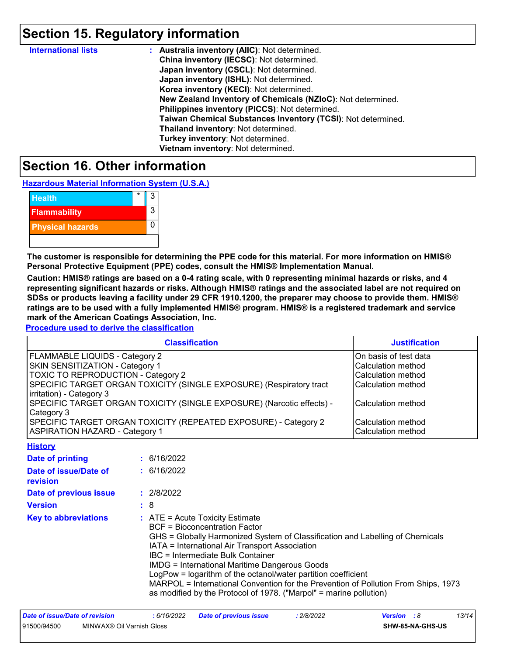## **Section 15. Regulatory information**

| <b>International lists</b> | : Australia inventory (AIIC): Not determined.                |
|----------------------------|--------------------------------------------------------------|
|                            | China inventory (IECSC): Not determined.                     |
|                            | Japan inventory (CSCL): Not determined.                      |
|                            | Japan inventory (ISHL): Not determined.                      |
|                            | Korea inventory (KECI): Not determined.                      |
|                            | New Zealand Inventory of Chemicals (NZIoC): Not determined.  |
|                            | Philippines inventory (PICCS): Not determined.               |
|                            | Taiwan Chemical Substances Inventory (TCSI): Not determined. |
|                            | Thailand inventory: Not determined.                          |
|                            | Turkey inventory: Not determined.                            |
|                            | Vietnam inventory: Not determined.                           |

### **Section 16. Other information**

**Hazardous Material Information System (U.S.A.)**

| <b>Health</b>           | 3 |
|-------------------------|---|
| <b>Flammability</b>     | 3 |
| <b>Physical hazards</b> |   |
|                         |   |

**The customer is responsible for determining the PPE code for this material. For more information on HMIS® Personal Protective Equipment (PPE) codes, consult the HMIS® Implementation Manual.**

**Caution: HMIS® ratings are based on a 0-4 rating scale, with 0 representing minimal hazards or risks, and 4 representing significant hazards or risks. Although HMIS® ratings and the associated label are not required on SDSs or products leaving a facility under 29 CFR 1910.1200, the preparer may choose to provide them. HMIS® ratings are to be used with a fully implemented HMIS® program. HMIS® is a registered trademark and service mark of the American Coatings Association, Inc.**

**Procedure used to derive the classification**

| <b>Classification</b>                                                 | <b>Justification</b>      |
|-----------------------------------------------------------------------|---------------------------|
| FLAMMABLE LIQUIDS - Category 2                                        | On basis of test data     |
| SKIN SENSITIZATION - Category 1                                       | <b>Calculation method</b> |
| <b>TOXIC TO REPRODUCTION - Category 2</b>                             | Calculation method        |
| SPECIFIC TARGET ORGAN TOXICITY (SINGLE EXPOSURE) (Respiratory tract   | <b>Calculation method</b> |
| irritation) - Category 3                                              |                           |
| SPECIFIC TARGET ORGAN TOXICITY (SINGLE EXPOSURE) (Narcotic effects) - | Calculation method        |
| Category 3                                                            |                           |
| SPECIFIC TARGET ORGAN TOXICITY (REPEATED EXPOSURE) - Category 2       | Calculation method        |
| <b>ASPIRATION HAZARD - Category 1</b>                                 | Calculation method        |

| <b>History</b>                    |                                                                                                                                                                                                                                                                                                                                                                                                                                                                                                                                          |
|-----------------------------------|------------------------------------------------------------------------------------------------------------------------------------------------------------------------------------------------------------------------------------------------------------------------------------------------------------------------------------------------------------------------------------------------------------------------------------------------------------------------------------------------------------------------------------------|
| Date of printing                  | : 6/16/2022                                                                                                                                                                                                                                                                                                                                                                                                                                                                                                                              |
| Date of issue/Date of<br>revision | : 6/16/2022                                                                                                                                                                                                                                                                                                                                                                                                                                                                                                                              |
| Date of previous issue            | : 2/8/2022                                                                                                                                                                                                                                                                                                                                                                                                                                                                                                                               |
| <b>Version</b>                    | :8                                                                                                                                                                                                                                                                                                                                                                                                                                                                                                                                       |
| <b>Key to abbreviations</b>       | $\therefore$ ATE = Acute Toxicity Estimate<br><b>BCF</b> = Bioconcentration Factor<br>GHS = Globally Harmonized System of Classification and Labelling of Chemicals<br>IATA = International Air Transport Association<br>IBC = Intermediate Bulk Container<br>IMDG = International Maritime Dangerous Goods<br>LogPow = logarithm of the octanol/water partition coefficient<br>MARPOL = International Convention for the Prevention of Pollution From Ships, 1973<br>as modified by the Protocol of 1978. ("Marpol" = marine pollution) |

| Date of issue/Date of revision |                           | 6/16/2022 | <b>Date of previous issue</b> | 2/8/2022 | <b>Version</b> : 8      |  | 13/14 |
|--------------------------------|---------------------------|-----------|-------------------------------|----------|-------------------------|--|-------|
| 91500/94500                    | MINWAX® Oil Varnish Gloss |           |                               |          | <b>SHW-85-NA-GHS-US</b> |  |       |